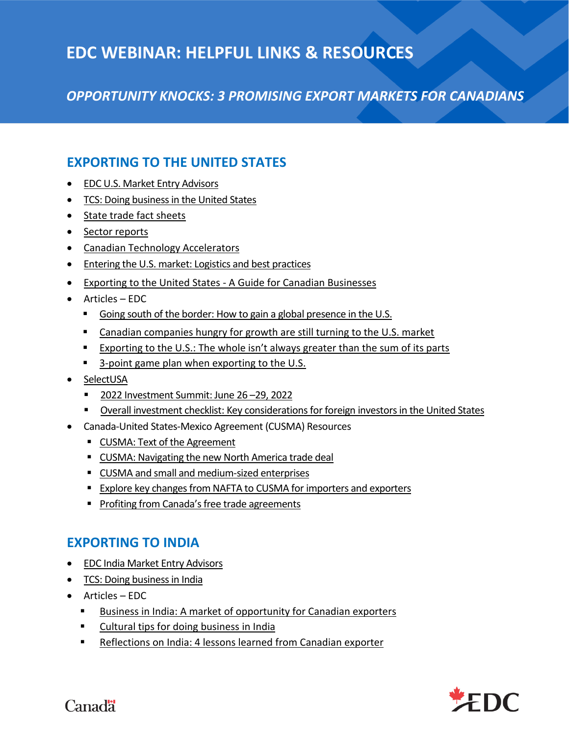# **EDC WEBINAR: HELPFUL LINKS & RESOURCES**

*OPPORTUNITY KNOCKS: 3 PROMISING EXPORT MARKETS FOR CANADIANS*

# **EXPORTING TO THE UNITED STATES**

- [EDC U.S. Market Entry Advisors](https://www.edc.ca/en/premium/guide/market-entry-advisors/country-info-united-states.html)
- [TCS: Doing business in the United States](https://www.tradecommissioner.gc.ca/united-states-of-america-etats-unis-amerique/index.aspx?lang=eng)
- [State trade fact sheets](https://www.tradecommissioner.gc.ca/united-states-of-america-etats-unis-amerique/business_fact_sheets-fiches_documentaires_affaires.aspx?lang=eng)
- [Sector reports](https://www.tradecommissioner.gc.ca/country_info_reports-info_pays_rapports.aspx?lang=eng)
- [Canadian Technology Accelerators](https://www.tradecommissioner.gc.ca/cta-atc/index.aspx?lang=eng)
- [Entering the U.S. market: Logistics and best practices](https://www.edc.ca/en/guide/exporting-to-us-logistics.html)
- Exporting to the United States [A Guide for Canadian Businesses](https://www.tradecommissioner.gc.ca/guides/us-export_eu/index.aspx?lang=eng)
- Articles EDC
	- [Going south of the border: How to gain a global presence in the U.S.](https://www.edc.ca/en/blog/gain-global-presence-in-the-us.html)
	- [Canadian companies hungry for growth are still turning to the U.S. market](https://www.edc.ca/en/article/us-top-market-for-canadian-business.html)
	- Exporting to the U.S.: Th[e whole isn't always greater than the sum of its parts](https://www.edc.ca/en/article/exporting-to-the-us.html)
	- [3-point game plan when exporting to the U.S.](https://www.edc.ca/en/blog/exporting-strategies-to-the-us.html)
- [SelectUSA](https://www.selectusa.gov/welcome)
	- 2022 [Investment Summit: June 26](https://www.selectusasummit.us/)–29, 2022
	- [Overall investment checklist: Key considerations for foreign investors in the United States](https://res-4.cloudinary.com/eventpower/images/v1/web_assets/20susa/wt3rwafz0q5idfrx0ysx/Overall_Investment_Checklist_Final.pdf)
- Canada-United States-Mexico Agreement (CUSMA) Resources
	- [CUSMA: Text of the Agreement](https://www.international.gc.ca/trade-commerce/trade-agreements-accords-commerciaux/agr-acc/cusma-aceum/text-texte/toc-tdm.aspx?lang=eng)
	- [CUSMA: Navigating the new North America trade deal](https://www.edc.ca/en/guide/cusma-benefits-for-exporters-investors.html)
	- [CUSMA and small and medium-sized enterprises](https://www.international.gc.ca/trade-commerce/trade-agreements-accords-commerciaux/agr-acc/cusma-aceum/business-commerce.aspx?lang=eng&_ga=2.259014979.874055364.1594984615-67825685.1573062929)
	- **[Explore key changes from NAFTA to CUSMA for importers and exporters](https://www.international.gc.ca/trade-commerce/trade-agreements-accords-commerciaux/agr-acc/cusma-aceum/nafta-cusma_aceum-alena.aspx?lang=eng)**
	- [Profiting from Canada's free trade agreements](https://www.edc.ca/en/ebook/getting-most-from-free-trade-agreements.html)

# **EXPORTING TO INDIA**

- [EDC India Market Entry Advisors](https://www.edc.ca/en/premium/guide/market-entry-advisors/country-info-india.html)
- [TCS: Doing business in India](https://www.tradecommissioner.gc.ca/india-inde/index.aspx?lang=eng)
- Articles EDC
	- [Business in India: A market of opportunity for Canadian exporters](https://www.edc.ca/en/blog/opportunity-canadian-companies-in-india.html)
	- [Cultural tips for doing business in India](https://www.edc.ca/en/guide/edc-cultural-etiquette-tips-india.html)
	- [Reflections on India: 4 lessons learned from Canadian exporter](https://www.edc.ca/en/blog/4-lessons-learned-exporting-to-india.html)

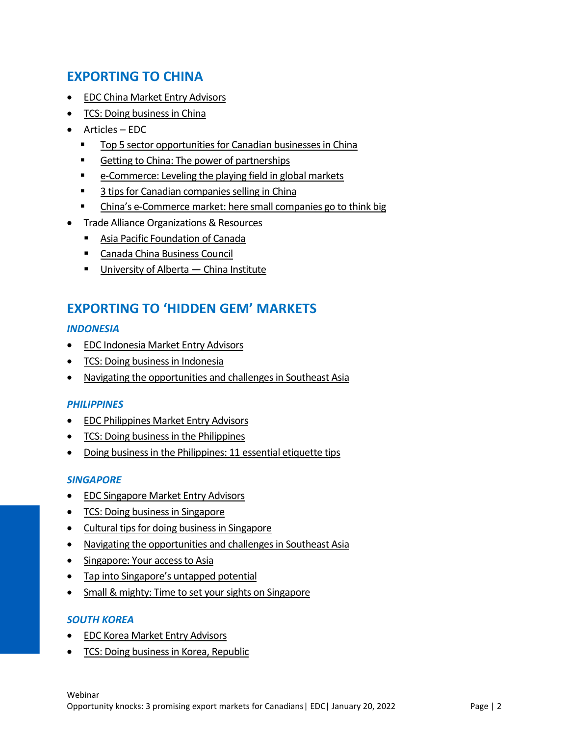# **EXPORTING TO CHINA**

- [EDC China Market Entry Advisors](https://www.edc.ca/en/premium/guide/market-entry-advisors/country-info-china.html)
- [TCS: Doing business in China](https://www.tradecommissioner.gc.ca/china-chine/index.aspx?lang=eng)
- Articles EDC
	- [Top 5 sector opportunities for Canadian businesses in China](https://www.edc.ca/en/blog/opportunities-for-canadian-businesses-in-china.html)
	- [Getting to China: The power](https://www.edc.ca/en/blog/the-power-of-partnerships.html) of partnerships
	- [e-Commerce: Leveling the playing field in global markets](https://www.edc.ca/en/blog/ecommerce-technology-in-global-markets.html)
	- [3 tips for Canadian companies selling in China](https://www.edc.ca/en/blog/canadian-companies-doing-business-in-china.html)
	- China's e[-Commerce market: here small companies go to think big](https://www.edc.ca/en/blog/china-ecommerce-market.html)
- Trade Alliance Organizations & Resources
	- [Asia Pacific Foundation of Canada](https://www.asiapacific.ca/)
	- [Canada China Business Council](https://ccbc.com/)
	- **[University of Alberta](https://www.ualberta.ca/china-institute/index.html)  China Institute**

## **EXPORTING TO 'HIDDEN GEM' MARKETS**

#### *INDONESIA*

- [EDC Indonesia Market Entry Advisors](https://www.edc.ca/en/premium/guide/market-entry-advisors/country-info-indonesia.html)
- [TCS: Doing business in Indonesia](https://www.tradecommissioner.gc.ca/indonesia-indonesie/index.aspx?lang=eng)
- [Navigating the opportunities and challenges in Southeast Asia](https://www.edc.ca/en/blog/navigating-opportunities-in-asia.html)

#### *PHILIPPINES*

- [EDC Philippines Market Entry Advisors](https://www.edc.ca/en/premium/guide/market-entry-advisors/country-info-philippines.html)
- [TCS: Doing business in the Philippines](https://www.tradecommissioner.gc.ca/philippines/index.aspx?lang=eng)
- [Doing business in the Philippines: 11 essential etiquette tips](https://www.edc.ca/en/blog/business-philippines-etiquette-tips.html)

#### *SINGAPORE*

- [EDC Singapore Market Entry Advisors](https://www.edc.ca/en/premium/guide/market-entry-advisors/country-info-singapore.html)
- [TCS: Doing business in Singapore](https://www.tradecommissioner.gc.ca/singapore-singapour/index.aspx?lang=eng)
- [Cultural tips for doing business in Singapore](https://www.edc.ca/en/guide/edc-cultural-etiquette-tips-singapore.html)
- [Navigating the opportunities and challenges in Southeast Asia](https://www.edc.ca/en/blog/navigating-opportunities-in-asia.html)
- [Singapore: Your access to Asia](https://www.edc.ca/en/blog/singapore-is-your-gateway-to-asia.html)
- [Tap into Singapore's untapped potential](https://www.edc.ca/en/article/singapore-untapped-potential.html)
- [Small & mighty: Time to set your sights on Singapore](https://www.edc.ca/en/blog/exporting-to-singapore.html)

#### *SOUTH KOREA*

- [EDC Korea Market Entry Advisors](https://www.edc.ca/en/premium/guide/market-entry-advisors/country-info-korea.html)
- [TCS: Doing business in Korea, Republic](https://www.tradecommissioner.gc.ca/korea-republic-coree-republique/index.aspx?lang=eng)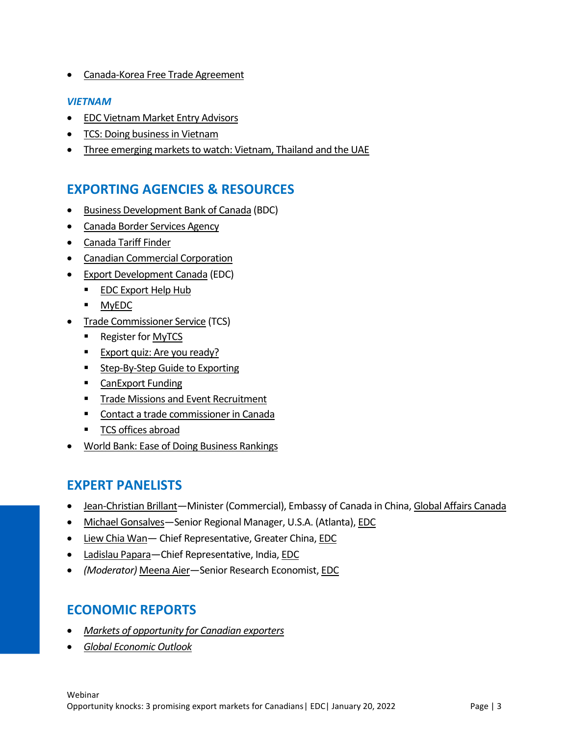• [Canada-Korea Free Trade Agreement](https://www.international.gc.ca/trade-commerce/trade-agreements-accords-commerciaux/agr-acc/korea-coree/index.aspx?lang=eng&_ga=2.148963764.344359074.1641826187-67825685.1573062929)

#### *VIETNAM*

- [EDC Vietnam Market Entry Advisors](https://www.edc.ca/en/premium/guide/market-entry-advisors/country-info-vietnam.html)
- [TCS: Doing business in Vietnam](https://www.tradecommissioner.gc.ca/vietnam-viet-nam/index.aspx?lang=eng)
- [Three emerging markets to watch: Vietnam, Thailand](https://www.edc.ca/en/article/three-emerging-markets-for-exporters.html) and the UAE

## **EXPORTING AGENCIES & RESOURCES**

- [Business Development Bank of Canada](https://www.bdc.ca/en/pages/home.aspx) (BDC)
- [Canada Border Services Agency](https://www.cbsa-asfc.gc.ca/menu-eng.html)
- [Canada Tariff Finder](https://www.tariffinder.ca/en/)
- [Canadian Commercial Corporation](https://www.ccc.ca/en/)
- [Export Development Canada](https://www.edc.ca/) (EDC)
	- [EDC Export Help Hub](https://www.edc.ca/en/tool/export-help-hub.html)
	- [MyEDC](https://www.edc.ca/en/login.html#SIGNIN:tab-9)
- [Trade Commissioner Service](https://www.tradecommissioner.gc.ca/index.aspx?lang=eng) (TCS)
	- Register fo[r MyTCS](https://www.tradecommissioner.gc.ca/secure-securisee/sign-in-inscrivez-vous.aspx?lang=eng)
	- [Export quiz: Are you ready?](https://www.tradecommissioner.gc.ca/quiz.aspx?lang=eng)
	- [Step-By-Step Guide to Exporting](https://www.tradecommissioner.gc.ca/exporters-exportateurs/guide-exporting-guide-exportation.aspx?lang=eng)
	- [CanExport Funding](https://www.tradecommissioner.gc.ca/funding-financement/canexport/index.aspx?lang=eng)
	- **[Trade Missions and Event Recruitment](https://www.tradecommissioner.gc.ca/trade_commissioners-delegues_commerciaux/events-evenements.aspx?lang=eng)**
	- [Contact a trade commissioner in Canada](https://www.tradecommissioner.gc.ca/offices-bureau-canada.aspx?lang=eng&_ga=2.149529012.344359074.1641826187-67825685.1573062929)
	- [TCS offices abroad](https://www.tradecommissioner.gc.ca/offices-bureaux-internationaux.aspx?lang=eng&_ga=2.154797114.344359074.1641826187-67825685.1573062929)
- [World Bank: Ease of Doing Business Rankings](https://www.doingbusiness.org/en/rankings)

### **EXPERT PANELISTS**

- [Jean-Christian Brillant](https://www.linkedin.com/in/jean-christian-brillant-%E8%B4%9D%E6%9D%B0%E6%80%9D-666553108/?originalSubdomain=cn)—Minister (Commercial), Embassy of Canada in China, [Global Affairs Canada](https://www.international.gc.ca/global-affairs-affaires-mondiales/home-accueil.aspx?lang=eng)
- [Michael Gonsalves](https://www.linkedin.com/in/michaelsgonsalves/)—Senior Regional Manager, U.S.A. (Atlanta)[, EDC](https://www.edc.ca/)
- [Liew Chia Wan](https://www.linkedin.com/in/liew-chia-wan-4232942a/?originalSubdomain=sg) Chief Representative, Greater China[, EDC](https://www.edc.ca/)
- [Ladislau Papara](https://www.linkedin.com/in/lvpapara/)—Chief Representative, India, [EDC](https://www.edc.ca/)
- *(Moderator)* [Meena Aier](https://www.linkedin.com/in/meena-aier-1827b041/?originalSubdomain=ca)—Senior Research Economist[, EDC](https://www.edc.ca/)

## **ECONOMIC REPORTS**

- *[Markets of opportunity for Canadian exporters](https://www.edc.ca/en/guide/edc-markets-of-opportunity.html)*
- *[Global Economic Outlook](https://www.edc.ca/en/guide/global-economic-outlook.html)*